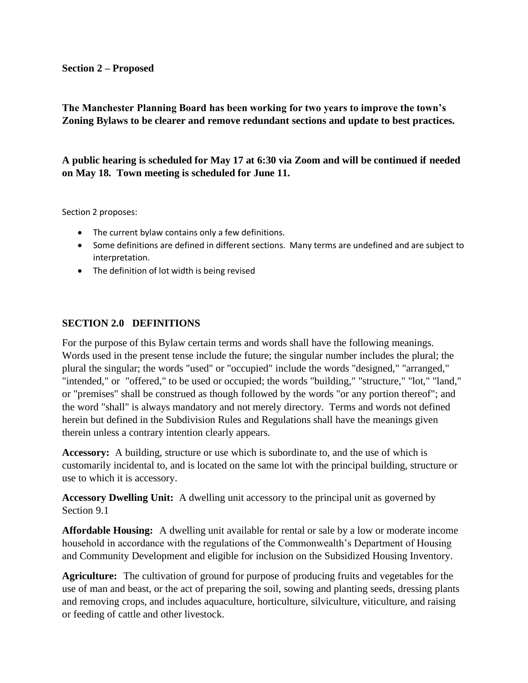## **Section 2 – Proposed**

**The Manchester Planning Board has been working for two years to improve the town's Zoning Bylaws to be clearer and remove redundant sections and update to best practices.** 

**A public hearing is scheduled for May 17 at 6:30 via Zoom and will be continued if needed on May 18. Town meeting is scheduled for June 11.**

Section 2 proposes:

- The current bylaw contains only a few definitions.
- Some definitions are defined in different sections. Many terms are undefined and are subject to interpretation.
- The definition of lot width is being revised

## **SECTION 2.0 DEFINITIONS**

For the purpose of this Bylaw certain terms and words shall have the following meanings. Words used in the present tense include the future; the singular number includes the plural; the plural the singular; the words "used" or "occupied" include the words "designed," "arranged," "intended," or "offered," to be used or occupied; the words "building," "structure," "lot," "land," or "premises" shall be construed as though followed by the words "or any portion thereof"; and the word "shall" is always mandatory and not merely directory. Terms and words not defined herein but defined in the Subdivision Rules and Regulations shall have the meanings given therein unless a contrary intention clearly appears.

**Accessory:** A building, structure or use which is subordinate to, and the use of which is customarily incidental to, and is located on the same lot with the principal building, structure or use to which it is accessory.

**Accessory Dwelling Unit:** A dwelling unit accessory to the principal unit as governed by Section 9.1

**Affordable Housing:** A dwelling unit available for rental or sale by a low or moderate income household in accordance with the regulations of the Commonwealth's Department of Housing and Community Development and eligible for inclusion on the Subsidized Housing Inventory.

**Agriculture:** The cultivation of ground for purpose of producing fruits and vegetables for the use of man and beast, or the act of preparing the soil, sowing and planting seeds, dressing plants and removing crops, and includes aquaculture, horticulture, silviculture, viticulture, and raising or feeding of cattle and other livestock.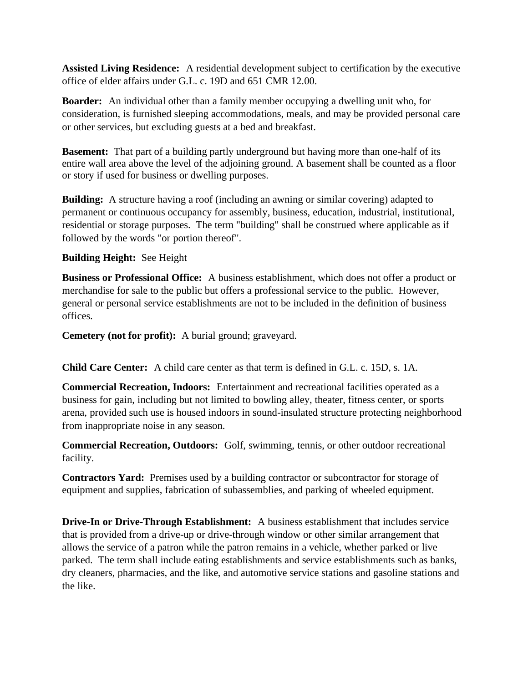**Assisted Living Residence:** A residential development subject to certification by the executive office of elder affairs under G.L. c. 19D and 651 CMR 12.00.

**Boarder:** An individual other than a family member occupying a dwelling unit who, for consideration, is furnished sleeping accommodations, meals, and may be provided personal care or other services, but excluding guests at a bed and breakfast.

**Basement:** That part of a building partly underground but having more than one-half of its entire wall area above the level of the adjoining ground. A basement shall be counted as a floor or story if used for business or dwelling purposes.

**Building:** A structure having a roof (including an awning or similar covering) adapted to permanent or continuous occupancy for assembly, business, education, industrial, institutional, residential or storage purposes. The term "building" shall be construed where applicable as if followed by the words "or portion thereof".

## **Building Height:** See Height

**Business or Professional Office:** A business establishment, which does not offer a product or merchandise for sale to the public but offers a professional service to the public. However, general or personal service establishments are not to be included in the definition of business offices.

**Cemetery (not for profit):** A burial ground; graveyard.

**Child Care Center:** A child care center as that term is defined in G.L. c. 15D, s. 1A.

**Commercial Recreation, Indoors:** Entertainment and recreational facilities operated as a business for gain, including but not limited to bowling alley, theater, fitness center, or sports arena, provided such use is housed indoors in sound-insulated structure protecting neighborhood from inappropriate noise in any season.

**Commercial Recreation, Outdoors:** Golf, swimming, tennis, or other outdoor recreational facility.

**Contractors Yard:** Premises used by a building contractor or subcontractor for storage of equipment and supplies, fabrication of subassemblies, and parking of wheeled equipment.

**Drive-In or Drive-Through Establishment:** A business establishment that includes service that is provided from a drive-up or drive-through window or other similar arrangement that allows the service of a patron while the patron remains in a vehicle, whether parked or live parked. The term shall include eating establishments and service establishments such as banks, dry cleaners, pharmacies, and the like, and automotive service stations and gasoline stations and the like.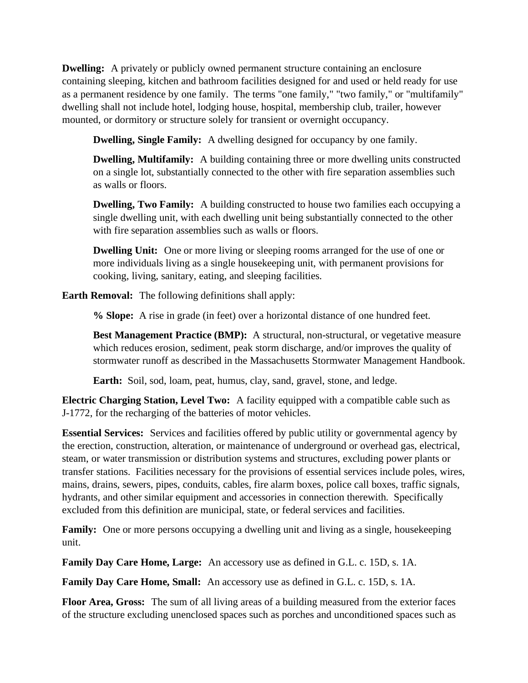**Dwelling:** A privately or publicly owned permanent structure containing an enclosure containing sleeping, kitchen and bathroom facilities designed for and used or held ready for use as a permanent residence by one family. The terms "one family," "two family," or "multifamily" dwelling shall not include hotel, lodging house, hospital, membership club, trailer, however mounted, or dormitory or structure solely for transient or overnight occupancy.

**Dwelling, Single Family:** A dwelling designed for occupancy by one family.

**Dwelling, Multifamily:** A building containing three or more dwelling units constructed on a single lot, substantially connected to the other with fire separation assemblies such as walls or floors.

**Dwelling, Two Family:** A building constructed to house two families each occupying a single dwelling unit, with each dwelling unit being substantially connected to the other with fire separation assemblies such as walls or floors.

**Dwelling Unit:** One or more living or sleeping rooms arranged for the use of one or more individuals living as a single housekeeping unit, with permanent provisions for cooking, living, sanitary, eating, and sleeping facilities.

**Earth Removal:** The following definitions shall apply:

**% Slope:** A rise in grade (in feet) over a horizontal distance of one hundred feet.

**Best Management Practice (BMP):** A structural, non-structural, or vegetative measure which reduces erosion, sediment, peak storm discharge, and/or improves the quality of stormwater runoff as described in the Massachusetts Stormwater Management Handbook.

**Earth:** Soil, sod, loam, peat, humus, clay, sand, gravel, stone, and ledge.

**Electric Charging Station, Level Two:** A facility equipped with a compatible cable such as J-1772, for the recharging of the batteries of motor vehicles.

**Essential Services:** Services and facilities offered by public utility or governmental agency by the erection, construction, alteration, or maintenance of underground or overhead gas, electrical, steam, or water transmission or distribution systems and structures, excluding power plants or transfer stations. Facilities necessary for the provisions of essential services include poles, wires, mains, drains, sewers, pipes, conduits, cables, fire alarm boxes, police call boxes, traffic signals, hydrants, and other similar equipment and accessories in connection therewith. Specifically excluded from this definition are municipal, state, or federal services and facilities.

**Family:** One or more persons occupying a dwelling unit and living as a single, housekeeping unit.

**Family Day Care Home, Large:** An accessory use as defined in G.L. c. 15D, s. 1A.

**Family Day Care Home, Small:** An accessory use as defined in G.L. c. 15D, s. 1A.

**Floor Area, Gross:** The sum of all living areas of a building measured from the exterior faces of the structure excluding unenclosed spaces such as porches and unconditioned spaces such as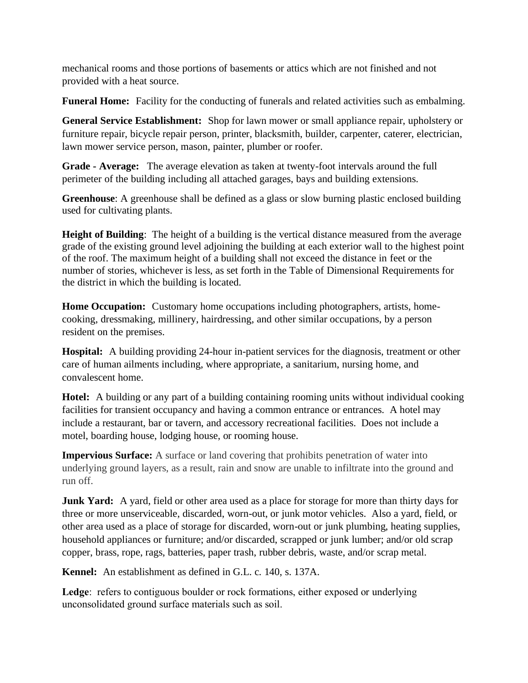mechanical rooms and those portions of basements or attics which are not finished and not provided with a heat source.

**Funeral Home:** Facility for the conducting of funerals and related activities such as embalming.

**General Service Establishment:** Shop for lawn mower or small appliance repair, upholstery or furniture repair, bicycle repair person, printer, blacksmith, builder, carpenter, caterer, electrician, lawn mower service person, mason, painter, plumber or roofer.

**Grade - Average:** The average elevation as taken at twenty-foot intervals around the full perimeter of the building including all attached garages, bays and building extensions.

**Greenhouse**: A greenhouse shall be defined as a glass or slow burning plastic enclosed building used for cultivating plants.

**Height of Building**: The height of a building is the vertical distance measured from the average grade of the existing ground level adjoining the building at each exterior wall to the highest point of the roof. The maximum height of a building shall not exceed the distance in feet or the number of stories, whichever is less, as set forth in the Table of Dimensional Requirements for the district in which the building is located.

**Home Occupation:** Customary home occupations including photographers, artists, homecooking, dressmaking, millinery, hairdressing, and other similar occupations, by a person resident on the premises.

**Hospital:** A building providing 24-hour in-patient services for the diagnosis, treatment or other care of human ailments including, where appropriate, a sanitarium, nursing home, and convalescent home.

**Hotel:** A building or any part of a building containing rooming units without individual cooking facilities for transient occupancy and having a common entrance or entrances. A hotel may include a restaurant, bar or tavern, and accessory recreational facilities. Does not include a motel, boarding house, lodging house, or rooming house.

**Impervious Surface:** A surface or land covering that prohibits penetration of water into underlying ground layers, as a result, rain and snow are unable to infiltrate into the ground and run off.

**Junk Yard:** A yard, field or other area used as a place for storage for more than thirty days for three or more unserviceable, discarded, worn-out, or junk motor vehicles. Also a yard, field, or other area used as a place of storage for discarded, worn-out or junk plumbing, heating supplies, household appliances or furniture; and/or discarded, scrapped or junk lumber; and/or old scrap copper, brass, rope, rags, batteries, paper trash, rubber debris, waste, and/or scrap metal.

**Kennel:** An establishment as defined in G.L. c. 140, s. 137A.

**Ledge**: refers to contiguous boulder or rock formations, either exposed or underlying unconsolidated ground surface materials such as soil.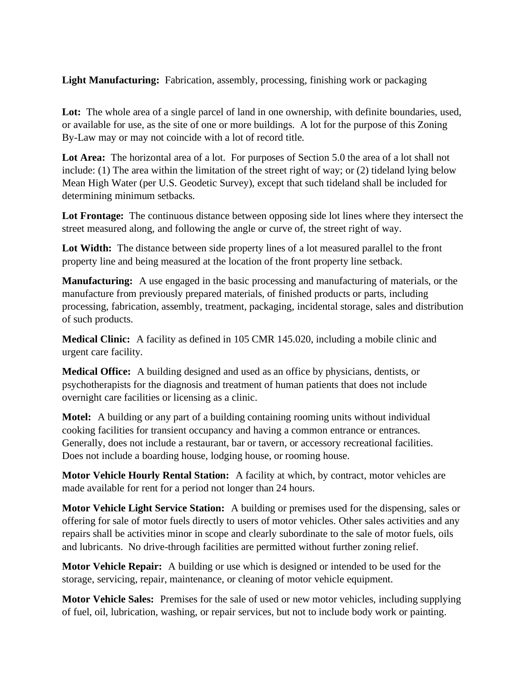**Light Manufacturing:** Fabrication, assembly, processing, finishing work or packaging

Lot: The whole area of a single parcel of land in one ownership, with definite boundaries, used, or available for use, as the site of one or more buildings. A lot for the purpose of this Zoning By-Law may or may not coincide with a lot of record title.

**Lot Area:** The horizontal area of a lot. For purposes of Section 5.0 the area of a lot shall not include: (1) The area within the limitation of the street right of way; or (2) tideland lying below Mean High Water (per U.S. Geodetic Survey), except that such tideland shall be included for determining minimum setbacks.

**Lot Frontage:** The continuous distance between opposing side lot lines where they intersect the street measured along, and following the angle or curve of, the street right of way.

Lot Width: The distance between side property lines of a lot measured parallel to the front property line and being measured at the location of the front property line setback.

**Manufacturing:** A use engaged in the basic processing and manufacturing of materials, or the manufacture from previously prepared materials, of finished products or parts, including processing, fabrication, assembly, treatment, packaging, incidental storage, sales and distribution of such products.

**Medical Clinic:** A facility as defined in 105 CMR 145.020, including a mobile clinic and urgent care facility.

**Medical Office:** A building designed and used as an office by physicians, dentists, or psychotherapists for the diagnosis and treatment of human patients that does not include overnight care facilities or licensing as a clinic.

**Motel:** A building or any part of a building containing rooming units without individual cooking facilities for transient occupancy and having a common entrance or entrances. Generally, does not include a restaurant, bar or tavern, or accessory recreational facilities. Does not include a boarding house, lodging house, or rooming house.

**Motor Vehicle Hourly Rental Station:** A facility at which, by contract, motor vehicles are made available for rent for a period not longer than 24 hours.

**Motor Vehicle Light Service Station:** A building or premises used for the dispensing, sales or offering for sale of motor fuels directly to users of motor vehicles. Other sales activities and any repairs shall be activities minor in scope and clearly subordinate to the sale of motor fuels, oils and lubricants. No drive-through facilities are permitted without further zoning relief.

**Motor Vehicle Repair:** A building or use which is designed or intended to be used for the storage, servicing, repair, maintenance, or cleaning of motor vehicle equipment.

**Motor Vehicle Sales:** Premises for the sale of used or new motor vehicles, including supplying of fuel, oil, lubrication, washing, or repair services, but not to include body work or painting.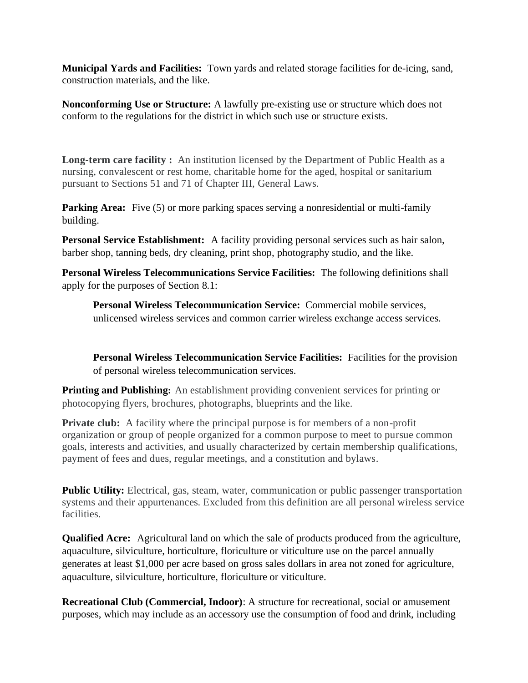**Municipal Yards and Facilities:** Town yards and related storage facilities for de-icing, sand, construction materials, and the like.

**Nonconforming Use or Structure:** A lawfully pre-existing use or structure which does not conform to the regulations for the district in which such use or structure exists.

**Long-term care facility :** An institution licensed by the Department of Public Health as a nursing, convalescent or rest home, charitable home for the aged, hospital or sanitarium pursuant to Sections 51 and 71 of Chapter III, General Laws.

**Parking Area:** Five (5) or more parking spaces serving a nonresidential or multi-family building.

**Personal Service Establishment:** A facility providing personal services such as hair salon, barber shop, tanning beds, dry cleaning, print shop, photography studio, and the like.

**Personal Wireless Telecommunications Service Facilities:** The following definitions shall apply for the purposes of Section 8.1:

**Personal Wireless Telecommunication Service:** Commercial mobile services, unlicensed wireless services and common carrier wireless exchange access services.

**Personal Wireless Telecommunication Service Facilities:** Facilities for the provision of personal wireless telecommunication services.

**Printing and Publishing:** An establishment providing convenient services for printing or photocopying flyers, brochures, photographs, blueprints and the like.

**Private club:** A facility where the principal purpose is for members of a non-profit organization or group of people organized for a common purpose to meet to pursue common goals, interests and activities, and usually characterized by certain membership qualifications, payment of fees and dues, regular meetings, and a constitution and bylaws.

**Public Utility:** Electrical, gas, steam, water, communication or public passenger transportation systems and their appurtenances. Excluded from this definition are all personal wireless service facilities.

**Qualified Acre:** Agricultural land on which the sale of products produced from the agriculture, aquaculture, silviculture, horticulture, floriculture or viticulture use on the parcel annually generates at least \$1,000 per acre based on gross sales dollars in area not zoned for agriculture, aquaculture, silviculture, horticulture, floriculture or viticulture.

**Recreational Club (Commercial, Indoor)**: A structure for recreational, social or amusement purposes, which may include as an accessory use the consumption of food and drink, including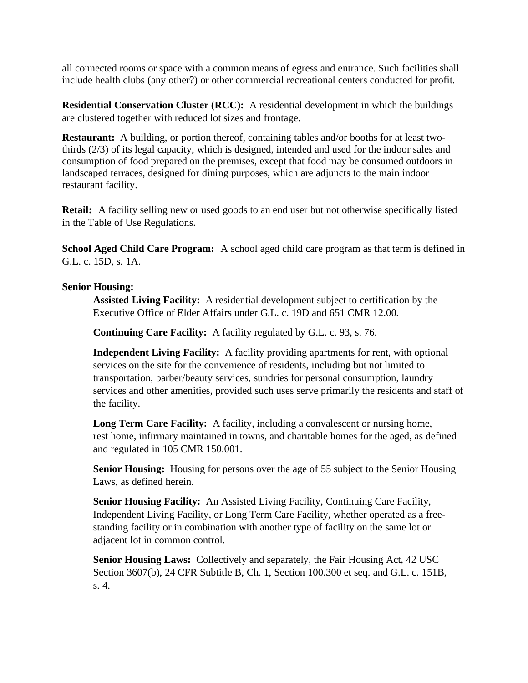all connected rooms or space with a common means of egress and entrance. Such facilities shall include health clubs (any other?) or other commercial recreational centers conducted for profit.

**Residential Conservation Cluster (RCC):** A residential development in which the buildings are clustered together with reduced lot sizes and frontage.

**Restaurant:** A building, or portion thereof, containing tables and/or booths for at least twothirds (2/3) of its legal capacity, which is designed, intended and used for the indoor sales and consumption of food prepared on the premises, except that food may be consumed outdoors in landscaped terraces, designed for dining purposes, which are adjuncts to the main indoor restaurant facility.

**Retail:** A facility selling new or used goods to an end user but not otherwise specifically listed in the Table of Use Regulations.

**School Aged Child Care Program:** A school aged child care program as that term is defined in G.L. c. 15D, s. 1A.

## **Senior Housing:**

**Assisted Living Facility:** A residential development subject to certification by the Executive Office of Elder Affairs under G.L. c. 19D and 651 CMR 12.00.

**Continuing Care Facility:** A facility regulated by G.L. c. 93, s. 76.

**Independent Living Facility:** A facility providing apartments for rent, with optional services on the site for the convenience of residents, including but not limited to transportation, barber/beauty services, sundries for personal consumption, laundry services and other amenities, provided such uses serve primarily the residents and staff of the facility.

**Long Term Care Facility:** A facility, including a convalescent or nursing home, rest home, infirmary maintained in towns, and charitable homes for the aged, as defined and regulated in 105 CMR 150.001.

**Senior Housing:** Housing for persons over the age of 55 subject to the Senior Housing Laws, as defined herein.

**Senior Housing Facility:** An Assisted Living Facility, Continuing Care Facility, Independent Living Facility, or Long Term Care Facility, whether operated as a freestanding facility or in combination with another type of facility on the same lot or adjacent lot in common control.

**Senior Housing Laws:** Collectively and separately, the Fair Housing Act, 42 USC Section 3607(b), 24 CFR Subtitle B, Ch. 1, Section 100.300 et seq. and G.L. c. 151B, s. 4.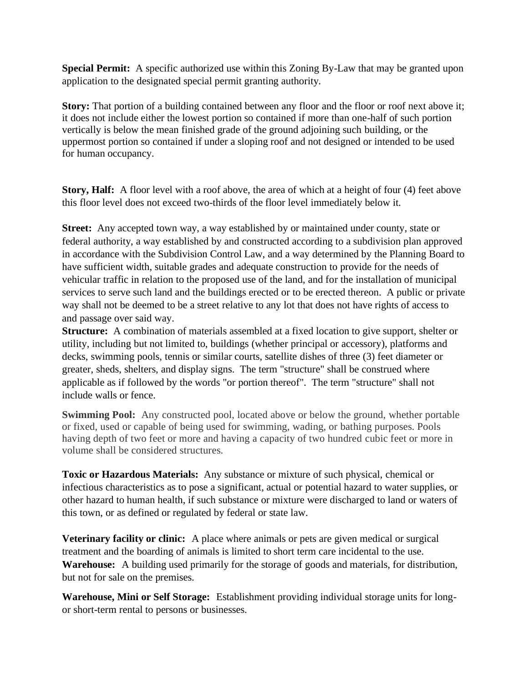**Special Permit:** A specific authorized use within this Zoning By-Law that may be granted upon application to the designated special permit granting authority.

**Story:** That portion of a building contained between any floor and the floor or roof next above it; it does not include either the lowest portion so contained if more than one-half of such portion vertically is below the mean finished grade of the ground adjoining such building, or the uppermost portion so contained if under a sloping roof and not designed or intended to be used for human occupancy.

**Story, Half:** A floor level with a roof above, the area of which at a height of four (4) feet above this floor level does not exceed two-thirds of the floor level immediately below it.

**Street:** Any accepted town way, a way established by or maintained under county, state or federal authority, a way established by and constructed according to a subdivision plan approved in accordance with the Subdivision Control Law, and a way determined by the Planning Board to have sufficient width, suitable grades and adequate construction to provide for the needs of vehicular traffic in relation to the proposed use of the land, and for the installation of municipal services to serve such land and the buildings erected or to be erected thereon. A public or private way shall not be deemed to be a street relative to any lot that does not have rights of access to and passage over said way.

**Structure:** A combination of materials assembled at a fixed location to give support, shelter or utility, including but not limited to, buildings (whether principal or accessory), platforms and decks, swimming pools, tennis or similar courts, satellite dishes of three (3) feet diameter or greater, sheds, shelters, and display signs. The term "structure" shall be construed where applicable as if followed by the words "or portion thereof". The term "structure" shall not include walls or fence.

**Swimming Pool:** Any constructed pool, located above or below the ground, whether portable or fixed, used or capable of being used for swimming, wading, or bathing purposes. Pools having depth of two feet or more and having a capacity of two hundred cubic feet or more in volume shall be considered structures.

**Toxic or Hazardous Materials:** Any substance or mixture of such physical, chemical or infectious characteristics as to pose a significant, actual or potential hazard to water supplies, or other hazard to human health, if such substance or mixture were discharged to land or waters of this town, or as defined or regulated by federal or state law.

**Veterinary facility or clinic:** A place where animals or pets are given medical or surgical treatment and the boarding of animals is limited to short term care incidental to the use. **Warehouse:** A building used primarily for the storage of goods and materials, for distribution, but not for sale on the premises.

**Warehouse, Mini or Self Storage:** Establishment providing individual storage units for longor short-term rental to persons or businesses.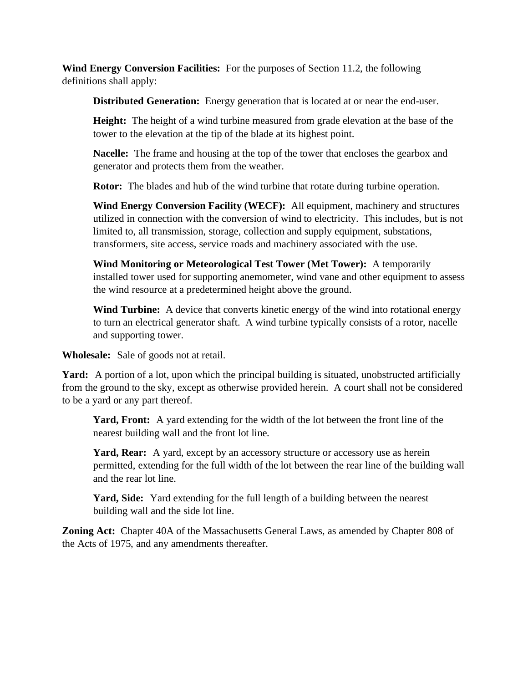**Wind Energy Conversion Facilities:** For the purposes of Section 11.2, the following definitions shall apply:

**Distributed Generation:** Energy generation that is located at or near the end-user.

**Height:** The height of a wind turbine measured from grade elevation at the base of the tower to the elevation at the tip of the blade at its highest point.

**Nacelle:** The frame and housing at the top of the tower that encloses the gearbox and generator and protects them from the weather.

**Rotor:** The blades and hub of the wind turbine that rotate during turbine operation.

**Wind Energy Conversion Facility (WECF):** All equipment, machinery and structures utilized in connection with the conversion of wind to electricity. This includes, but is not limited to, all transmission, storage, collection and supply equipment, substations, transformers, site access, service roads and machinery associated with the use.

**Wind Monitoring or Meteorological Test Tower (Met Tower):** A temporarily installed tower used for supporting anemometer, wind vane and other equipment to assess the wind resource at a predetermined height above the ground.

**Wind Turbine:** A device that converts kinetic energy of the wind into rotational energy to turn an electrical generator shaft. A wind turbine typically consists of a rotor, nacelle and supporting tower.

**Wholesale:** Sale of goods not at retail.

Yard: A portion of a lot, upon which the principal building is situated, unobstructed artificially from the ground to the sky, except as otherwise provided herein. A court shall not be considered to be a yard or any part thereof.

**Yard, Front:** A yard extending for the width of the lot between the front line of the nearest building wall and the front lot line.

**Yard, Rear:** A yard, except by an accessory structure or accessory use as herein permitted, extending for the full width of the lot between the rear line of the building wall and the rear lot line.

**Yard, Side:** Yard extending for the full length of a building between the nearest building wall and the side lot line.

**Zoning Act:** Chapter 40A of the Massachusetts General Laws, as amended by Chapter 808 of the Acts of 1975, and any amendments thereafter.